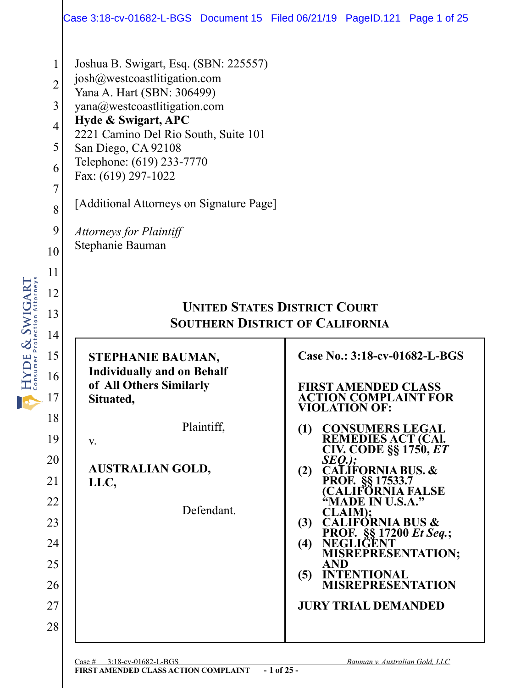| <b>HYDE &amp; SWIGAR</b> | $\mathbf{1}$<br>$\overline{2}$<br>3<br>$\overline{4}$<br>5<br>6<br>$\overline{7}$<br>8<br>9<br>10<br>11<br>12<br>13 | Case 3:18-cv-01682-L-BGS Document 15 Filed 06/21/19 PageID.121 Page 1 of 25<br>Joshua B. Swigart, Esq. (SBN: 225557)<br>josh@westcoastlitigation.com<br>Yana A. Hart (SBN: 306499)<br>yana@westcoastlitigation.com<br>Hyde & Swigart, APC<br>2221 Camino Del Rio South, Suite 101<br>San Diego, CA 92108<br>Telephone: (619) 233-7770<br>Fax: (619) 297-1022<br>[Additional Attorneys on Signature Page]<br><b>Attorneys for Plaintiff</b><br>Stephanie Bauman<br><b>UNITED STATES DISTRICT COURT</b> |                                                                                                                                                                                                                                                                                                                                                                                                                                                                                                                                                                     |  |  |  |
|--------------------------|---------------------------------------------------------------------------------------------------------------------|-------------------------------------------------------------------------------------------------------------------------------------------------------------------------------------------------------------------------------------------------------------------------------------------------------------------------------------------------------------------------------------------------------------------------------------------------------------------------------------------------------|---------------------------------------------------------------------------------------------------------------------------------------------------------------------------------------------------------------------------------------------------------------------------------------------------------------------------------------------------------------------------------------------------------------------------------------------------------------------------------------------------------------------------------------------------------------------|--|--|--|
|                          | 14                                                                                                                  |                                                                                                                                                                                                                                                                                                                                                                                                                                                                                                       | <b>SOUTHERN DISTRICT OF CALIFORNIA</b>                                                                                                                                                                                                                                                                                                                                                                                                                                                                                                                              |  |  |  |
|                          | 15<br>16<br>17<br>18<br>19<br>20<br>21<br>22<br>23<br>24<br>25<br>26<br>27<br>28                                    | STEPHANIE BAUMAN,<br><b>Individually and on Behalf</b><br>of All Others Similarly<br>Situated,<br>Plaintiff,<br>V.<br><b>AUSTRALIAN GOLD,</b><br>LLC,<br>Defendant.                                                                                                                                                                                                                                                                                                                                   | Case No.: 3:18-cv-01682-L-BGS<br><b>FIRST AMENDED CLASS</b><br><b>ACTION COMPLAINT FOR</b><br><b>VIOLATION OF:</b><br><b>CONSUMERS LEGAL</b><br>(1)<br><b>REMEDIES ACT (CAI.</b><br><b>CIV. CODE §§ 1750, ET</b><br><i>ŠEQ.);</i><br>CALIFORNIA BUS. &<br>(2)<br>PROF. 88 17533.7<br>(CALIFORNIA FALSE<br>"MADE IN U.S.A."<br>CLAIM);<br><b>CALIFÓRNIA BUS &amp;</b><br>(3)<br>PROF. §§ 17200 Et Seq.;<br><b>NEGLIGENT</b><br>(4)<br><b>MISREPRESENTATION;</b><br><b>AND</b><br><b>INTENTIONAL</b><br>(5)<br><b>MISREPRESENTATION</b><br><b>JURY TRIAL DEMANDED</b> |  |  |  |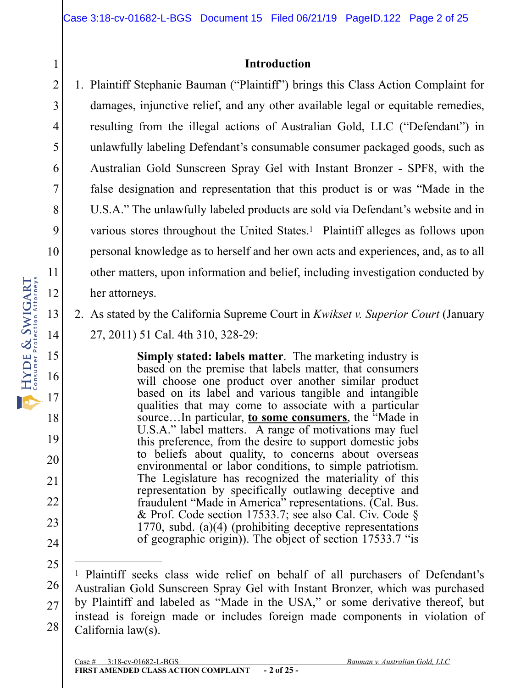## <span id="page-1-1"></span>**Introduction**

1. Plaintiff Stephanie Bauman ("Plaintiff") brings this Class Action Complaint for damages, injunctive relief, and any other available legal or equitable remedies, resulting from the illegal actions of Australian Gold, LLC ("Defendant") in unlawfully labeling Defendant's consumable consumer packaged goods, such as Australian Gold Sunscreen Spray Gel with Instant Bronzer - SPF8, with the false designation and representation that this product is or was "Made in the U.S.A." The unlawfully labeled products are sold via Defendant's website and in variousstores throughout the United States.<sup>[1](#page-1-0)</sup> Plaintiff alleges as follows upon personal knowledge as to herself and her own acts and experiences, and, as to all other matters, upon information and belief, including investigation conducted by her attorneys.

2. As stated by the California Supreme Court in *Kwikset v. Superior Court* (January 27, 2011) 51 Cal. 4th 310, 328-29:

> **Simply stated: labels matter**. The marketing industry is based on the premise that labels matter, that consumers will choose one product over another similar product based on its label and various tangible and intangible qualities that may come to associate with a particular source…In particular, **to some consumers**, the "Made in U.S.A." label matters. A range of motivations may fuel this preference, from the desire to support domestic jobs to beliefs about quality, to concerns about overseas environmental or labor conditions, to simple patriotism. The Legislature has recognized the materiality of this representation by specifically outlawing deceptive and fraudulent "Made in America" representations. (Cal. Bus. & Prof. Code section 17533.7; see also Cal. Civ. Code § 1770, subd. (a)(4) (prohibiting deceptive representations of geographic origin)). The object of section 17533.7 "is

1

2

3

4

5

6

7

8

9

10

11

12

13

14

HYDE & SWIGART

15

16

17

18

19

20

21

<span id="page-1-0"></span><sup>27</sup>  28 <sup>1</sup>Plaintiff seeks class wide relief on behalf of all purchasers of Defendant's Australian Gold Sunscreen Spray Gel with Instant Bronzer, which was purchased by Plaintiff and labeled as "Made in the USA," or some derivative thereof, but instead is foreign made or includes foreign made components in violation of California law(s).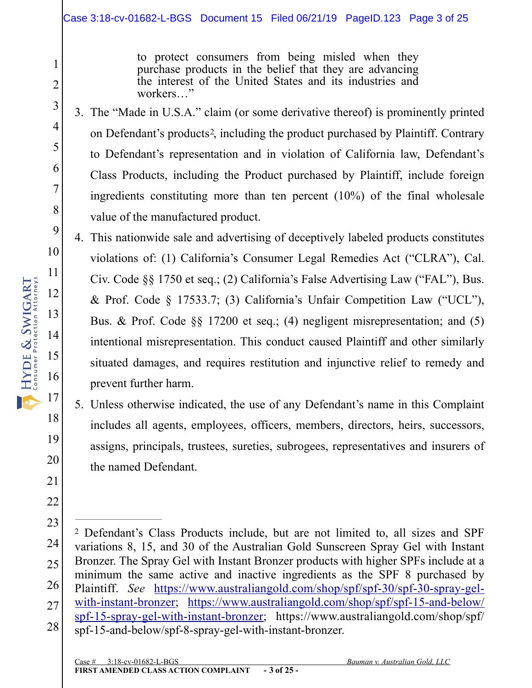<span id="page-2-1"></span>to protect consumers from being misled when they purchase products in the belief that they are advancing the interest of the United States and its industries and workers…"

3. The "Made in U.S.A." claim (or some derivative thereof) is prominently printed on Defendant's products<sup>2</sup>[,](#page-2-0) including the product purchased by Plaintiff. Contrary to Defendant's representation and in violation of California law, Defendant's Class Products, including the Product purchased by Plaintiff, include foreign ingredients constituting more than ten percent (10%) of the final wholesale value of the manufactured product.

- 4. This nationwide sale and advertising of deceptively labeled products constitutes violations of: (1) California's Consumer Legal Remedies Act ("CLRA"), Cal. Civ. Code §§ 1750 et seq.; (2) California's False Advertising Law ("FAL"), Bus. & Prof. Code § 17533.7; (3) California's Unfair Competition Law ("UCL"), Bus. & Prof. Code §§ 17200 et seq.; (4) negligent misrepresentation; and (5) intentional misrepresentation. This conduct caused Plaintiff and other similarly situated damages, and requires restitution and injunctive relief to remedy and prevent further harm.
- 5. Unless otherwise indicated, the use of any Defendant's name in this Complaint includes all agents, employees, officers, members, directors, heirs, successors, assigns, principals, trustees, sureties, subrogees, representatives and insurers of the named Defendant.

1

2

3

4

5

6

7

8

9

10

18

19

20

21

<span id="page-2-0"></span><sup>23</sup>  24 25 26 27 28 Defendant's Class Products include, but are not limited to, all sizes and SPF [2](#page-2-1) variations 8, 15, and 30 of the Australian Gold Sunscreen Spray Gel with Instant Bronzer. The Spray Gel with Instant Bronzer products with higher SPFs include at a minimum the same active and inactive ingredients as the SPF 8 purchased by Plaintiff. *See* [https://www.australiangold.com/shop/spf/spf-30/spf-30-spray-gel](https://www.australiangold.com/shop/spf/spf-30/spf-30-spray-gel-with-instant-bronzer)[with-instant-bronzer;](https://www.australiangold.com/shop/spf/spf-30/spf-30-spray-gel-with-instant-bronzer) [https://www.australiangold.com/shop/spf/spf-15-and-below/](https://www.australiangold.com/shop/spf/spf-15-and-below/spf-15-spray-gel-with-instant-bronzer) [spf-15-spray-gel-with-instant-bronzer; https://www.australiangold.com/shop/spf/](https://www.australiangold.com/shop/spf/spf-15-and-below/spf-15-spray-gel-with-instant-bronzer) spf-15-and-below/spf-8-spray-gel-with-instant-bronzer.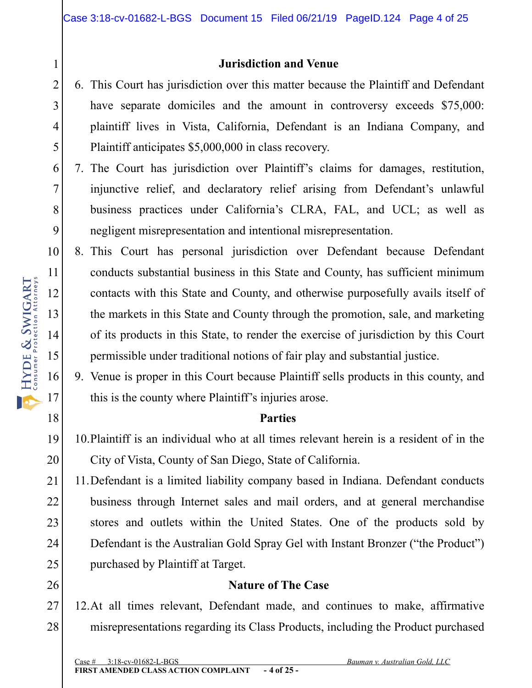## **Jurisdiction and Venue**

- 2 6. This Court has jurisdiction over this matter because the Plaintiff and Defendant have separate domiciles and the amount in controversy exceeds \$75,000: plaintiff lives in Vista, California, Defendant is an Indiana Company, and Plaintiff anticipates \$5,000,000 in class recovery.
- 6 7 8 9 7. The Court has jurisdiction over Plaintiff's claims for damages, restitution, injunctive relief, and declaratory relief arising from Defendant's unlawful business practices under California's CLRA, FAL, and UCL; as well as negligent misrepresentation and intentional misrepresentation.
- 10 11 12 13 14 15 8. This Court has personal jurisdiction over Defendant because Defendant conducts substantial business in this State and County, has sufficient minimum contacts with this State and County, and otherwise purposefully avails itself of the markets in this State and County through the promotion, sale, and marketing of its products in this State, to render the exercise of jurisdiction by this Court permissible under traditional notions of fair play and substantial justice.
	- 9. Venue is proper in this Court because Plaintiff sells products in this county, and this is the county where Plaintiff's injuries arose.

## **Parties**

19 20 10.Plaintiff is an individual who at all times relevant herein is a resident of in the City of Vista, County of San Diego, State of California.

21 22 23 24 25 11.Defendant is a limited liability company based in Indiana. Defendant conducts business through Internet sales and mail orders, and at general merchandise stores and outlets within the United States. One of the products sold by Defendant is the Australian Gold Spray Gel with Instant Bronzer ("the Product") purchased by Plaintiff at Target.

## **Nature of The Case**

27 28 12.At all times relevant, Defendant made, and continues to make, affirmative misrepresentations regarding its Class Products, including the Product purchased

16

17

18

26

1

3

4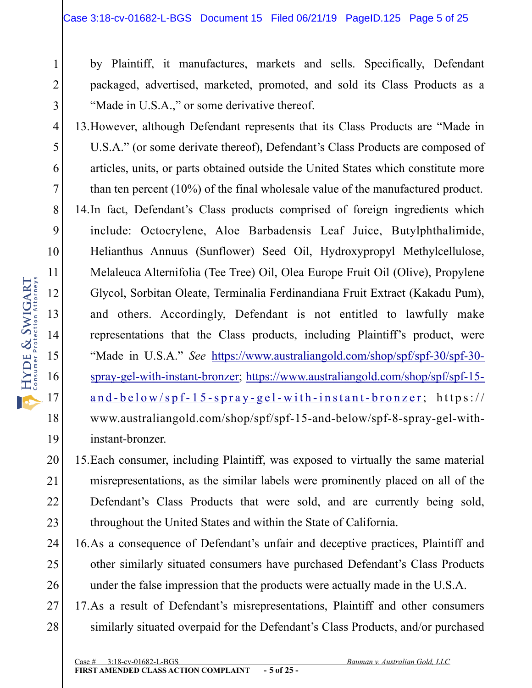by Plaintiff, it manufactures, markets and sells. Specifically, Defendant packaged, advertised, marketed, promoted, and sold its Class Products as a "Made in U.S.A.," or some derivative thereof.

13.However, although Defendant represents that its Class Products are "Made in U.S.A." (or some derivate thereof), Defendant's Class Products are composed of articles, units, or parts obtained outside the United States which constitute more than ten percent (10%) of the final wholesale value of the manufactured product.

14.In fact, Defendant's Class products comprised of foreign ingredients which include: Octocrylene, Aloe Barbadensis Leaf Juice, Butylphthalimide, Helianthus Annuus (Sunflower) Seed Oil, Hydroxypropyl Methylcellulose, Melaleuca Alternifolia (Tee Tree) Oil, Olea Europe Fruit Oil (Olive), Propylene Glycol, Sorbitan Oleate, Terminalia Ferdinandiana Fruit Extract (Kakadu Pum), and others. Accordingly, Defendant is not entitled to lawfully make representations that the Class products, including Plaintiff's product, were "Made in U.S.A." *See* [https://www.australiangold.com/shop/spf/spf-30/spf-30](https://www.australiangold.com/shop/spf/spf-30/spf-30-spray-gel-with-instant-bronzer) [spray-gel-with-instant-bronzer](https://www.australiangold.com/shop/spf/spf-30/spf-30-spray-gel-with-instant-bronzer)[; https://www.australiangold.com/shop/spf/spf-15](https://www.australiangold.com/shop/spf/spf-15-and-below/spf-15-spray-gel-with-instant-bronzer) [and-below/spf-15-spray-gel-with-instant-bronzer](https://www.australiangold.com/shop/spf/spf-15-and-below/spf-15-spray-gel-with-instant-bronzer); https:// www.australiangold.com/shop/spf/spf-15-and-below/spf-8-spray-gel-withinstant-bronzer.

20 21 22 23 15.Each consumer, including Plaintiff, was exposed to virtually the same material misrepresentations, as the similar labels were prominently placed on all of the Defendant's Class Products that were sold, and are currently being sold, throughout the United States and within the State of California.

24 25 26 16.As a consequence of Defendant's unfair and deceptive practices, Plaintiff and other similarly situated consumers have purchased Defendant's Class Products under the false impression that the products were actually made in the U.S.A.

27 28 17.As a result of Defendant's misrepresentations, Plaintiff and other consumers similarly situated overpaid for the Defendant's Class Products, and/or purchased

1

2

3

4

5

6

7

8

9

10

18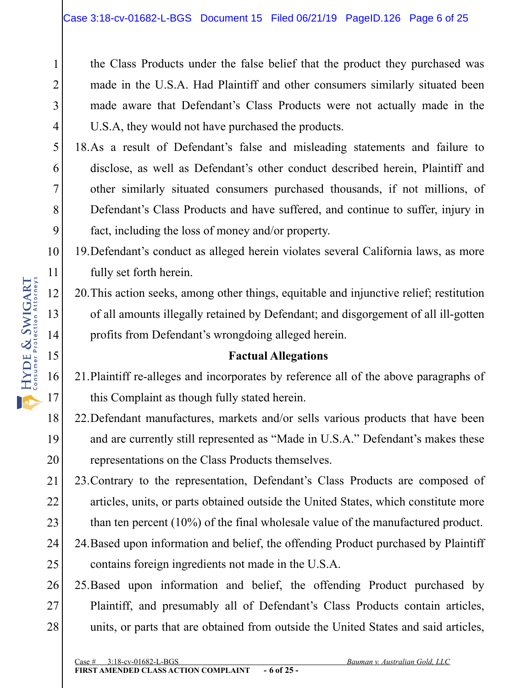the Class Products under the false belief that the product they purchased was made in the U.S.A. Had Plaintiff and other consumers similarly situated been made aware that Defendant's Class Products were not actually made in the U.S.A, they would not have purchased the products.

5 8 9 18.As a result of Defendant's false and misleading statements and failure to disclose, as well as Defendant's other conduct described herein, Plaintiff and other similarly situated consumers purchased thousands, if not millions, of Defendant's Class Products and have suffered, and continue to suffer, injury in fact, including the loss of money and/or property.

10 11 19.Defendant's conduct as alleged herein violates several California laws, as more fully set forth herein.

20.This action seeks, among other things, equitable and injunctive relief; restitution of all amounts illegally retained by Defendant; and disgorgement of all ill-gotten profits from Defendant's wrongdoing alleged herein.

## **Factual Allegations**

21.Plaintiff re-alleges and incorporates by reference all of the above paragraphs of this Complaint as though fully stated herein.

18 19 20 22.Defendant manufactures, markets and/or sells various products that have been and are currently still represented as "Made in U.S.A." Defendant's makes these representations on the Class Products themselves.

21 22 23 23.Contrary to the representation, Defendant's Class Products are composed of articles, units, or parts obtained outside the United States, which constitute more than ten percent (10%) of the final wholesale value of the manufactured product.

- 24 25 24.Based upon information and belief, the offending Product purchased by Plaintiff contains foreign ingredients not made in the U.S.A.
- 26 27 28 25.Based upon information and belief, the offending Product purchased by Plaintiff, and presumably all of Defendant's Class Products contain articles, units, or parts that are obtained from outside the United States and said articles,

1

2

3

4

6

7

12

13

14

15

16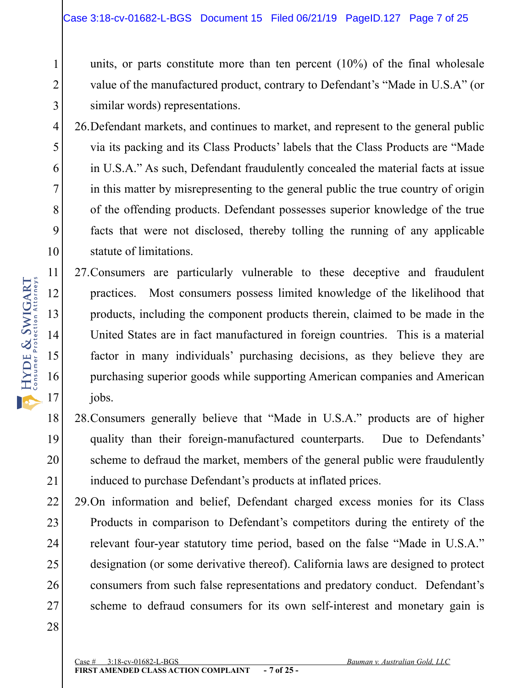units, or parts constitute more than ten percent  $(10\%)$  of the final wholesale value of the manufactured product, contrary to Defendant's "Made in U.S.A" (or similar words) representations.

26.Defendant markets, and continues to market, and represent to the general public via its packing and its Class Products' labels that the Class Products are "Made in U.S.A." As such, Defendant fraudulently concealed the material facts at issue in this matter by misrepresenting to the general public the true country of origin of the offending products. Defendant possesses superior knowledge of the true facts that were not disclosed, thereby tolling the running of any applicable statute of limitations.

- 27.Consumers are particularly vulnerable to these deceptive and fraudulent practices. Most consumers possess limited knowledge of the likelihood that products, including the component products therein, claimed to be made in the United States are in fact manufactured in foreign countries. This is a material factor in many individuals' purchasing decisions, as they believe they are purchasing superior goods while supporting American companies and American jobs.
- 18 19 20 21 28.Consumers generally believe that "Made in U.S.A." products are of higher quality than their foreign-manufactured counterparts. Due to Defendants' scheme to defraud the market, members of the general public were fraudulently induced to purchase Defendant's products at inflated prices.
- 22 23 24 25 26 27 29.On information and belief, Defendant charged excess monies for its Class Products in comparison to Defendant's competitors during the entirety of the relevant four-year statutory time period, based on the false "Made in U.S.A." designation (or some derivative thereof). California laws are designed to protect consumers from such false representations and predatory conduct. Defendant's scheme to defraud consumers for its own self-interest and monetary gain is
- 28

1

2

3

4

5

6

7

8

9

10

11

12

13

14

15

16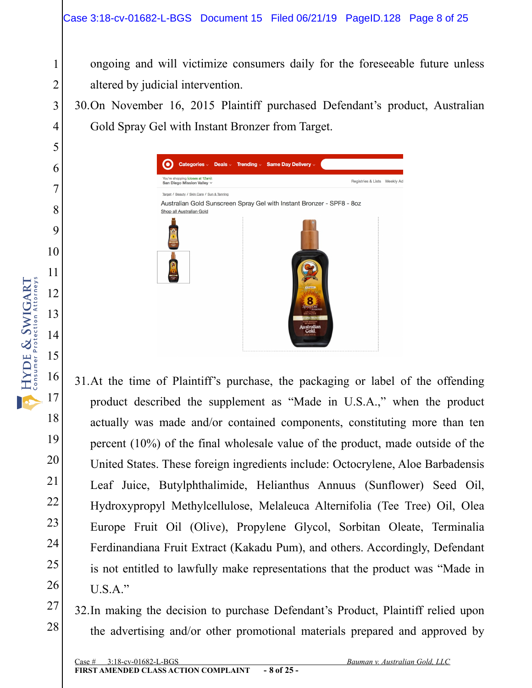ongoing and will victimize consumers daily for the foreseeable future unless altered by judicial intervention.

30.On November 16, 2015 Plaintiff purchased Defendant's product, Australian Gold Spray Gel with Instant Bronzer from Target.



- 16 17 18 19 20 21 22 23 24 25 26 31.At the time of Plaintiff's purchase, the packaging or label of the offending product described the supplement as "Made in U.S.A.," when the product actually was made and/or contained components, constituting more than ten percent (10%) of the final wholesale value of the product, made outside of the United States. These foreign ingredients include: Octocrylene, Aloe Barbadensis Leaf Juice, Butylphthalimide, Helianthus Annuus (Sunflower) Seed Oil, Hydroxypropyl Methylcellulose, Melaleuca Alternifolia (Tee Tree) Oil, Olea Europe Fruit Oil (Olive), Propylene Glycol, Sorbitan Oleate, Terminalia Ferdinandiana Fruit Extract (Kakadu Pum), and others. Accordingly, Defendant is not entitled to lawfully make representations that the product was "Made in U.S.A."
- 27 28 32.In making the decision to purchase Defendant's Product, Plaintiff relied upon the advertising and/or other promotional materials prepared and approved by

1

2

3

4

5

6

7

8

9

10

11

12

13

14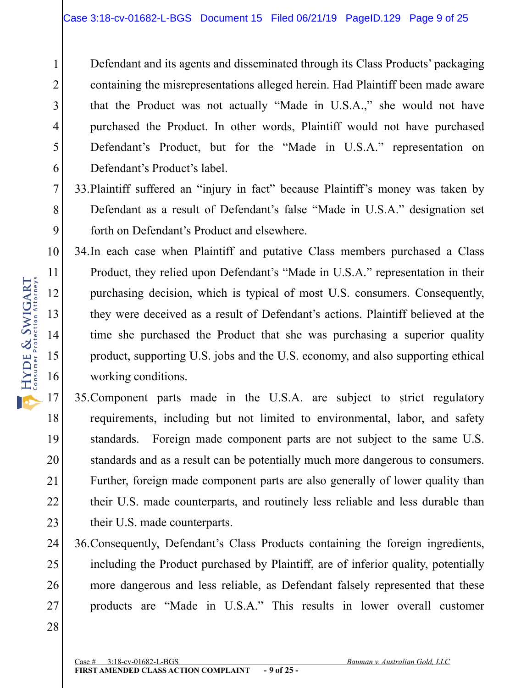Defendant and its agents and disseminated through its Class Products' packaging containing the misrepresentations alleged herein. Had Plaintiff been made aware that the Product was not actually "Made in U.S.A.," she would not have purchased the Product. In other words, Plaintiff would not have purchased Defendant's Product, but for the "Made in U.S.A." representation on Defendant's Product's label.

- 7 8 9 33.Plaintiff suffered an "injury in fact" because Plaintiff's money was taken by Defendant as a result of Defendant's false "Made in U.S.A." designation set forth on Defendant's Product and elsewhere.
- 10 11 12 13 14 15 16 34.In each case when Plaintiff and putative Class members purchased a Class Product, they relied upon Defendant's "Made in U.S.A." representation in their purchasing decision, which is typical of most U.S. consumers. Consequently, they were deceived as a result of Defendant's actions. Plaintiff believed at the time she purchased the Product that she was purchasing a superior quality product, supporting U.S. jobs and the U.S. economy, and also supporting ethical working conditions.
- 17 18 19 20 21 22 23 35.Component parts made in the U.S.A. are subject to strict regulatory requirements, including but not limited to environmental, labor, and safety standards. Foreign made component parts are not subject to the same U.S. standards and as a result can be potentially much more dangerous to consumers. Further, foreign made component parts are also generally of lower quality than their U.S. made counterparts, and routinely less reliable and less durable than their U.S. made counterparts.
- 24 25 26 27 36.Consequently, Defendant's Class Products containing the foreign ingredients, including the Product purchased by Plaintiff, are of inferior quality, potentially more dangerous and less reliable, as Defendant falsely represented that these products are "Made in U.S.A." This results in lower overall customer
- 28

1

2

3

4

5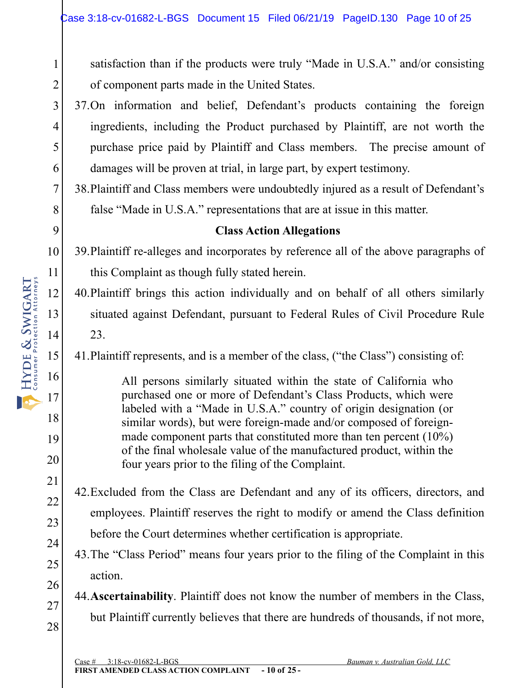satisfaction than if the products were truly "Made in U.S.A." and/or consisting of component parts made in the United States.

6 37.On information and belief, Defendant's products containing the foreign ingredients, including the Product purchased by Plaintiff, are not worth the purchase price paid by Plaintiff and Class members. The precise amount of damages will be proven at trial, in large part, by expert testimony.

38.Plaintiff and Class members were undoubtedly injured as a result of Defendant's false "Made in U.S.A." representations that are at issue in this matter.

## **Class Action Allegations**

39.Plaintiff re-alleges and incorporates by reference all of the above paragraphs of this Complaint as though fully stated herein.

40.Plaintiff brings this action individually and on behalf of all others similarly situated against Defendant, pursuant to Federal Rules of Civil Procedure Rule 23.

41.Plaintiff represents, and is a member of the class, ("the Class") consisting of:

All persons similarly situated within the state of California who purchased one or more of Defendant's Class Products, which were labeled with a "Made in U.S.A." country of origin designation (or similar words), but were foreign-made and/or composed of foreignmade component parts that constituted more than ten percent (10%) of the final wholesale value of the manufactured product, within the four years prior to the filing of the Complaint.

- 42.Excluded from the Class are Defendant and any of its officers, directors, and employees. Plaintiff reserves the right to modify or amend the Class definition before the Court determines whether certification is appropriate.
- 43.The "Class Period" means four years prior to the filing of the Complaint in this action.
- 44.**Ascertainability**. Plaintiff does not know the number of members in the Class, but Plaintiff currently believes that there are hundreds of thousands, if not more,

1

2

3

4

5

7

8

9

10

18

19

20

21

22

23

24

25

26

27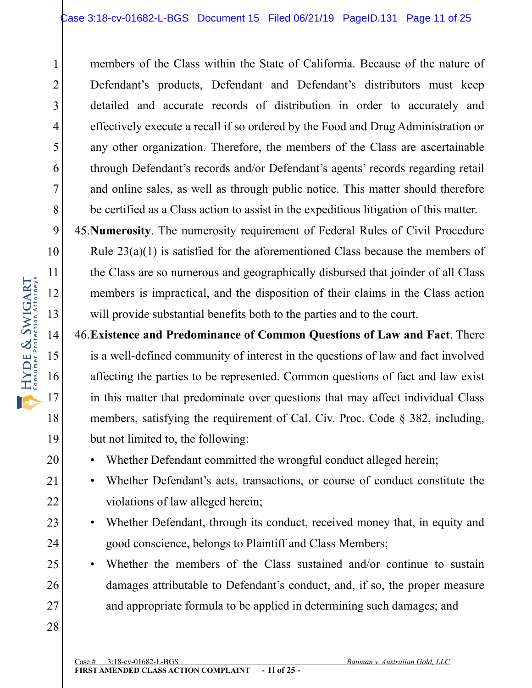members of the Class within the State of California. Because of the nature of Defendant's products, Defendant and Defendant's distributors must keep detailed and accurate records of distribution in order to accurately and effectively execute a recall if so ordered by the Food and Drug Administration or any other organization. Therefore, the members of the Class are ascertainable through Defendant's records and/or Defendant's agents' records regarding retail and online sales, as well as through public notice. This matter should therefore be certified as a Class action to assist in the expeditious litigation of this matter.

45.**Numerosity**. The numerosity requirement of Federal Rules of Civil Procedure Rule 23(a)(1) is satisfied for the aforementioned Class because the members of the Class are so numerous and geographically disbursed that joinder of all Class members is impractical, and the disposition of their claims in the Class action will provide substantial benefits both to the parties and to the court.

46.**Existence and Predominance of Common Questions of Law and Fact**. There is a well-defined community of interest in the questions of law and fact involved affecting the parties to be represented. Common questions of fact and law exist in this matter that predominate over questions that may affect individual Class members, satisfying the requirement of Cal. Civ. Proc. Code § 382, including, but not limited to, the following:

- Whether Defendant committed the wrongful conduct alleged herein;
- Whether Defendant's acts, transactions, or course of conduct constitute the violations of law alleged herein;
- Whether Defendant, through its conduct, received money that, in equity and good conscience, belongs to Plaintiff and Class Members;
- Whether the members of the Class sustained and/or continue to sustain damages attributable to Defendant's conduct, and, if so, the proper measure and appropriate formula to be applied in determining such damages; and

1

2

3

4

5

6

7

8

9

10

11

12

13

14

HYDE & SWIGART

15

16

17

18

19

20

21

22

23

24

25

26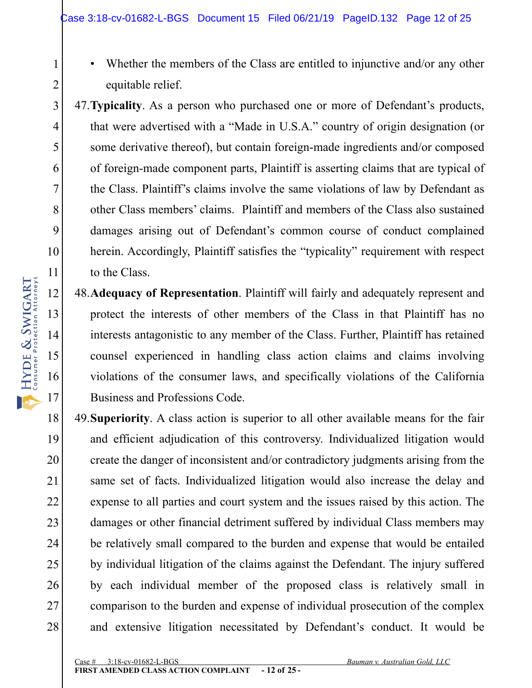2

3

4

5

6

7

8

9

10

11

12

13

14

15

16

17

1

• Whether the members of the Class are entitled to injunctive and/or any other equitable relief.

47.**Typicality**. As a person who purchased one or more of Defendant's products, that were advertised with a "Made in U.S.A." country of origin designation (or some derivative thereof), but contain foreign-made ingredients and/or composed of foreign-made component parts, Plaintiff is asserting claims that are typical of the Class. Plaintiff's claims involve the same violations of law by Defendant as other Class members' claims. Plaintiff and members of the Class also sustained damages arising out of Defendant's common course of conduct complained herein. Accordingly, Plaintiff satisfies the "typicality" requirement with respect to the Class.

48.**Adequacy of Representation**. Plaintiff will fairly and adequately represent and protect the interests of other members of the Class in that Plaintiff has no interests antagonistic to any member of the Class. Further, Plaintiff has retained counsel experienced in handling class action claims and claims involving violations of the consumer laws, and specifically violations of the California Business and Professions Code.

18 19 20 21 22 23 24 25 26 27 28 49.**Superiority**. A class action is superior to all other available means for the fair and efficient adjudication of this controversy. Individualized litigation would create the danger of inconsistent and/or contradictory judgments arising from the same set of facts. Individualized litigation would also increase the delay and expense to all parties and court system and the issues raised by this action. The damages or other financial detriment suffered by individual Class members may be relatively small compared to the burden and expense that would be entailed by individual litigation of the claims against the Defendant. The injury suffered by each individual member of the proposed class is relatively small in comparison to the burden and expense of individual prosecution of the complex and extensive litigation necessitated by Defendant's conduct. It would be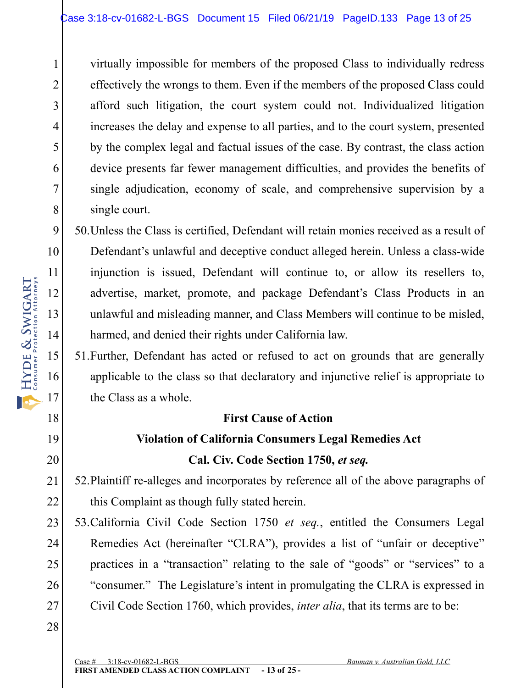virtually impossible for members of the proposed Class to individually redress effectively the wrongs to them. Even if the members of the proposed Class could afford such litigation, the court system could not. Individualized litigation increases the delay and expense to all parties, and to the court system, presented by the complex legal and factual issues of the case. By contrast, the class action device presents far fewer management difficulties, and provides the benefits of single adjudication, economy of scale, and comprehensive supervision by a single court.

9 10 50.Unless the Class is certified, Defendant will retain monies received as a result of Defendant's unlawful and deceptive conduct alleged herein. Unless a class-wide injunction is issued, Defendant will continue to, or allow its resellers to, advertise, market, promote, and package Defendant's Class Products in an unlawful and misleading manner, and Class Members will continue to be misled, harmed, and denied their rights under California law.

51.Further, Defendant has acted or refused to act on grounds that are generally applicable to the class so that declaratory and injunctive relief is appropriate to the Class as a whole.

## **First Cause of Action**

# **Violation of California Consumers Legal Remedies Act Cal. Civ. Code Section 1750,** *et seq.*

52.Plaintiff re-alleges and incorporates by reference all of the above paragraphs of this Complaint as though fully stated herein.

23 24 25 26 53.California Civil Code Section 1750 *et seq.*, entitled the Consumers Legal Remedies Act (hereinafter "CLRA"), provides a list of "unfair or deceptive" practices in a "transaction" relating to the sale of "goods" or "services" to a "consumer." The Legislature's intent in promulgating the CLRA is expressed in Civil Code Section 1760, which provides, *inter alia*, that its terms are to be:

1

2

3

4

5

6

7

8

11

18

19

20

21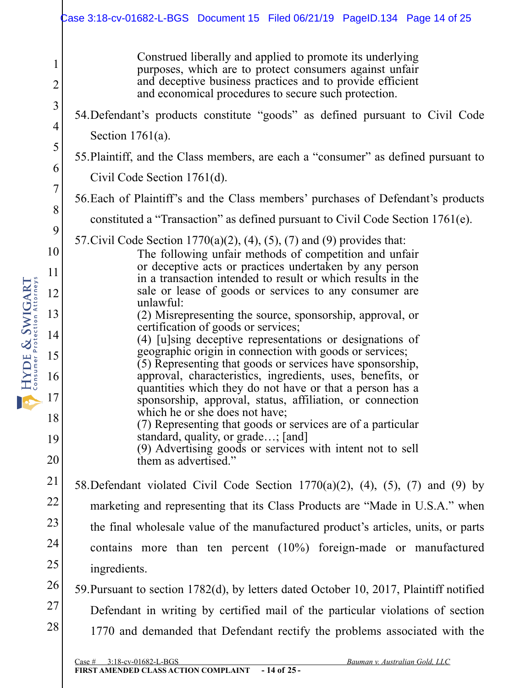|                           |                     | Case 3:18-cv-01682-L-BGS Document 15 Filed 06/21/19 PageID.134 Page 14 of 25                                                                                                                                                              |
|---------------------------|---------------------|-------------------------------------------------------------------------------------------------------------------------------------------------------------------------------------------------------------------------------------------|
|                           | 1<br>$\overline{c}$ | Construed liberally and applied to promote its underlying<br>purposes, which are to protect consumers against unfair<br>and deceptive business practices and to provide efficient<br>and economical procedures to secure such protection. |
|                           | 3                   | 54. Defendant's products constitute "goods" as defined pursuant to Civil Code                                                                                                                                                             |
|                           | $\overline{4}$      | Section $1761(a)$ .                                                                                                                                                                                                                       |
|                           | 5                   | 55. Plaintiff, and the Class members, are each a "consumer" as defined pursuant to                                                                                                                                                        |
|                           | 6                   | Civil Code Section $1761(d)$ .                                                                                                                                                                                                            |
|                           | 7                   | 56. Each of Plaintiff's and the Class members' purchases of Defendant's products                                                                                                                                                          |
|                           | 8                   | constituted a "Transaction" as defined pursuant to Civil Code Section 1761(e).                                                                                                                                                            |
|                           | 9<br>10             | 57. Civil Code Section $1770(a)(2)$ , (4), (5), (7) and (9) provides that:                                                                                                                                                                |
|                           | 11                  | The following unfair methods of competition and unfair<br>or deceptive acts or practices undertaken by any person                                                                                                                         |
|                           | 12                  | in a transaction intended to result or which results in the<br>sale or lease of goods or services to any consumer are                                                                                                                     |
|                           | 13                  | unlawful:<br>(2) Misrepresenting the source, sponsorship, approval, or                                                                                                                                                                    |
|                           | 14                  | certification of goods or services;                                                                                                                                                                                                       |
|                           | 15                  | (4) [u]sing deceptive representations or designations of<br>geographic origin in connection with goods or services;                                                                                                                       |
| <b>HYDE &amp; SWIGART</b> | 16                  | (5) Representing that goods or services have sponsorship,<br>approval, characteristics, ingredients, uses, benefits, or                                                                                                                   |
|                           | 17                  | quantities which they do not have or that a person has a<br>sponsorship, approval, status, affiliation, or connection                                                                                                                     |
|                           | 18                  | which he or she does not have;                                                                                                                                                                                                            |
|                           | 19                  | (7) Representing that goods or services are of a particular<br>standard, quality, or grade; [and]                                                                                                                                         |
|                           | 20                  | (9) Advertising goods or services with intent not to sell<br>them as advertised."                                                                                                                                                         |
|                           | 21                  |                                                                                                                                                                                                                                           |
|                           | 22                  | 58. Defendant violated Civil Code Section $1770(a)(2)$ , (4), (5), (7) and (9) by<br>marketing and representing that its Class Products are "Made in U.S.A." when                                                                         |
|                           | 23                  | the final wholesale value of the manufactured product's articles, units, or parts                                                                                                                                                         |
|                           | 24                  | contains more than ten percent $(10\%)$ foreign-made or manufactured                                                                                                                                                                      |
|                           | 25                  | ingredients.                                                                                                                                                                                                                              |
|                           | 26                  | 59. Pursuant to section 1782(d), by letters dated October 10, 2017, Plaintiff notified                                                                                                                                                    |
|                           | 27                  | Defendant in writing by certified mail of the particular violations of section                                                                                                                                                            |
|                           | 28                  | 1770 and demanded that Defendant rectify the problems associated with the                                                                                                                                                                 |
|                           |                     |                                                                                                                                                                                                                                           |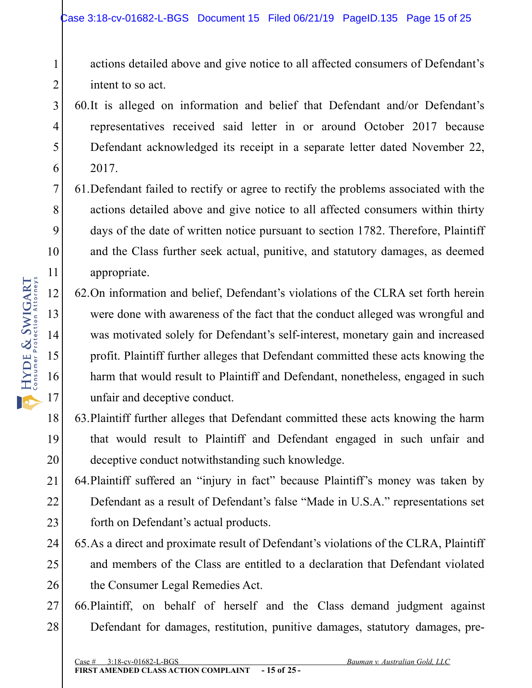actions detailed above and give notice to all affected consumers of Defendant's intent to so act.

- 3 4 5 6 60.It is alleged on information and belief that Defendant and/or Defendant's representatives received said letter in or around October 2017 because Defendant acknowledged its receipt in a separate letter dated November 22, 2017.
- 7 8 9 10 11 61.Defendant failed to rectify or agree to rectify the problems associated with the actions detailed above and give notice to all affected consumers within thirty days of the date of written notice pursuant to section 1782. Therefore, Plaintiff and the Class further seek actual, punitive, and statutory damages, as deemed appropriate.
	- 62.On information and belief, Defendant's violations of the CLRA set forth herein were done with awareness of the fact that the conduct alleged was wrongful and was motivated solely for Defendant's self-interest, monetary gain and increased profit. Plaintiff further alleges that Defendant committed these acts knowing the harm that would result to Plaintiff and Defendant, nonetheless, engaged in such unfair and deceptive conduct.
- 18 19 20 63.Plaintiff further alleges that Defendant committed these acts knowing the harm that would result to Plaintiff and Defendant engaged in such unfair and deceptive conduct notwithstanding such knowledge.
- 21 22 23 64.Plaintiff suffered an "injury in fact" because Plaintiff's money was taken by Defendant as a result of Defendant's false "Made in U.S.A." representations set forth on Defendant's actual products.
- 24 25 26 65.As a direct and proximate result of Defendant's violations of the CLRA, Plaintiff and members of the Class are entitled to a declaration that Defendant violated the Consumer Legal Remedies Act.
- 27 28 66.Plaintiff, on behalf of herself and the Class demand judgment against Defendant for damages, restitution, punitive damages, statutory damages, pre-

12

13

14

15

16

17

1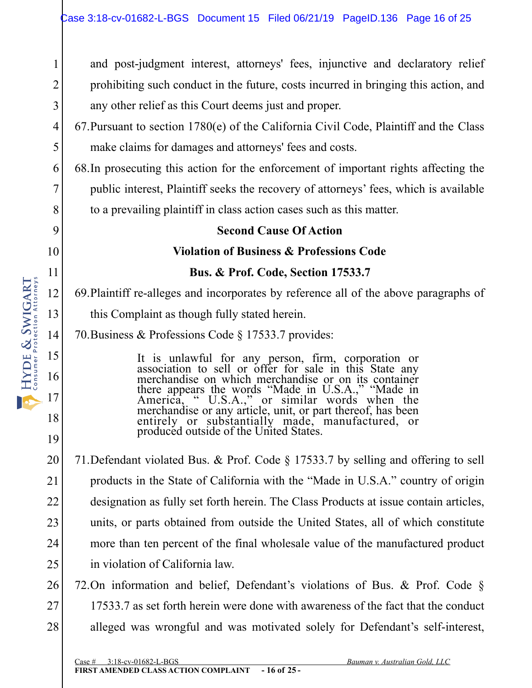and post-judgment interest, attorneys' fees, injunctive and declaratory relief prohibiting such conduct in the future, costs incurred in bringing this action, and any other relief as this Court deems just and proper.

- 67.Pursuant to section 1780(e) of the California Civil Code, Plaintiff and the Class make claims for damages and attorneys' fees and costs.
- 68.In prosecuting this action for the enforcement of important rights affecting the public interest, Plaintiff seeks the recovery of attorneys' fees, which is available to a prevailing plaintiff in class action cases such as this matter.

## **Second Cause Of Action**

## **Violation of Business & Professions Code**

## **Bus. & Prof. Code, Section 17533.7**

69.Plaintiff re-alleges and incorporates by reference all of the above paragraphs of

this Complaint as though fully stated herein.

70.Business & Professions Code § 17533.7 provides:

It is unlawful for any person, firm, corporation or association to sell or offer for sale in this State any merchandise on which merchandise or on its container there appears the words "Made in U.S.A.," "Made in America, "  $U.S.A.,$ " or similar words when the merchandise or any article, unit, or part thereof, has been entirely or substantially made, manufactured, or produced outside of the United States.

20 21 22 23 24 25 71.Defendant violated Bus. & Prof. Code § 17533.7 by selling and offering to sell products in the State of California with the "Made in U.S.A." country of origin designation as fully set forth herein. The Class Products at issue contain articles, units, or parts obtained from outside the United States, all of which constitute more than ten percent of the final wholesale value of the manufactured product in violation of California law.

26 27 28 72.On information and belief, Defendant's violations of Bus. & Prof. Code § 17533.7 as set forth herein were done with awareness of the fact that the conduct alleged was wrongful and was motivated solely for Defendant's self-interest,

1

2

3

4

5

6

7

8

9

10

11

12

13

14

15

16

17

18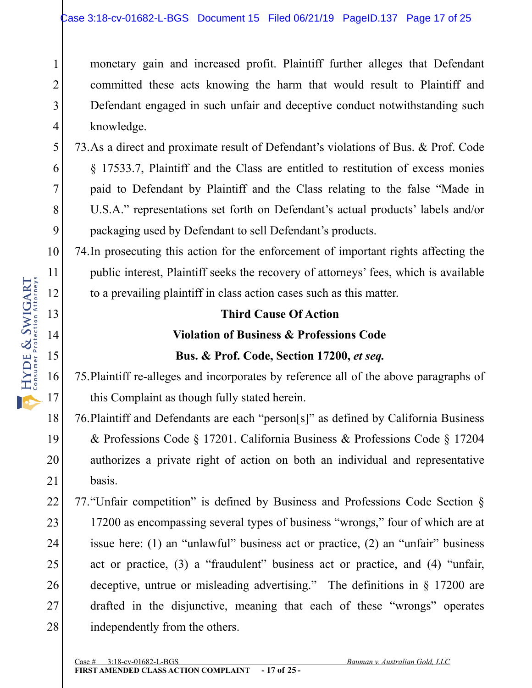monetary gain and increased profit. Plaintiff further alleges that Defendant committed these acts knowing the harm that would result to Plaintiff and Defendant engaged in such unfair and deceptive conduct notwithstanding such knowledge.

73.As a direct and proximate result of Defendant's violations of Bus. & Prof. Code § 17533.7, Plaintiff and the Class are entitled to restitution of excess monies paid to Defendant by Plaintiff and the Class relating to the false "Made in U.S.A." representations set forth on Defendant's actual products' labels and/or packaging used by Defendant to sell Defendant's products.

10 74.In prosecuting this action for the enforcement of important rights affecting the public interest, Plaintiff seeks the recovery of attorneys' fees, which is available to a prevailing plaintiff in class action cases such as this matter.

## **Third Cause Of Action**

## **Violation of Business & Professions Code**

## **Bus. & Prof. Code, Section 17200,** *et seq.*

75.Plaintiff re-alleges and incorporates by reference all of the above paragraphs of this Complaint as though fully stated herein.

18 19 20 21 76.Plaintiff and Defendants are each "person[s]" as defined by California Business & Professions Code § 17201. California Business & Professions Code § 17204 authorizes a private right of action on both an individual and representative basis.

22 23 24 25 26 27 28 77."Unfair competition" is defined by Business and Professions Code Section § 17200 as encompassing several types of business "wrongs," four of which are at issue here: (1) an "unlawful" business act or practice, (2) an "unfair" business act or practice, (3) a "fraudulent" business act or practice, and (4) "unfair, deceptive, untrue or misleading advertising." The definitions in § 17200 are drafted in the disjunctive, meaning that each of these "wrongs" operates independently from the others.

1

2

3

4

5

6

7

8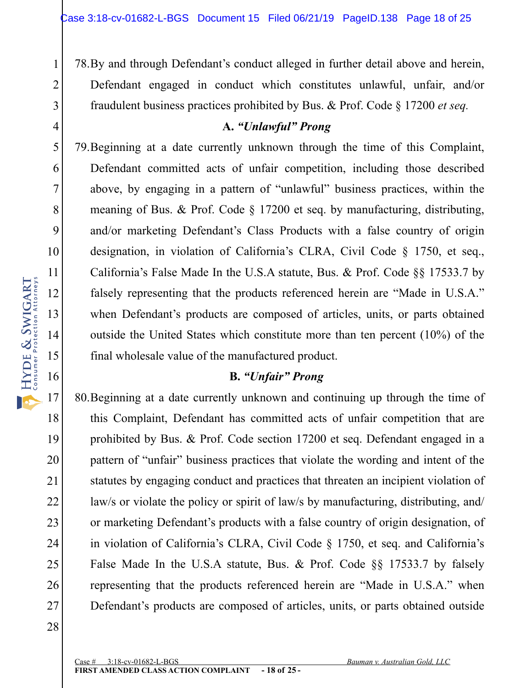78.By and through Defendant's conduct alleged in further detail above and herein, Defendant engaged in conduct which constitutes unlawful, unfair, and/or fraudulent business practices prohibited by Bus. & Prof. Code § 17200 *et seq.* 

## **A.** *"Unlawful" Prong*

79.Beginning at a date currently unknown through the time of this Complaint, Defendant committed acts of unfair competition, including those described above, by engaging in a pattern of "unlawful" business practices, within the meaning of Bus. & Prof. Code § 17200 et seq. by manufacturing, distributing, and/or marketing Defendant's Class Products with a false country of origin designation, in violation of California's CLRA, Civil Code § 1750, et seq., California's False Made In the U.S.A statute, Bus. & Prof. Code §§ 17533.7 by falsely representing that the products referenced herein are "Made in U.S.A." when Defendant's products are composed of articles, units, or parts obtained outside the United States which constitute more than ten percent (10%) of the final wholesale value of the manufactured product.

## **B.** *"Unfair" Prong*

80.Beginning at a date currently unknown and continuing up through the time of this Complaint, Defendant has committed acts of unfair competition that are prohibited by Bus. & Prof. Code section 17200 et seq. Defendant engaged in a pattern of "unfair" business practices that violate the wording and intent of the statutes by engaging conduct and practices that threaten an incipient violation of law/s or violate the policy or spirit of law/s by manufacturing, distributing, and/ or marketing Defendant's products with a false country of origin designation, of in violation of California's CLRA, Civil Code § 1750, et seq. and California's False Made In the U.S.A statute, Bus. & Prof. Code §§ 17533.7 by falsely representing that the products referenced herein are "Made in U.S.A." when Defendant's products are composed of articles, units, or parts obtained outside

1

2

3

4

5

6

7

8

9

18

19

20

21

22

23

24

25

26

27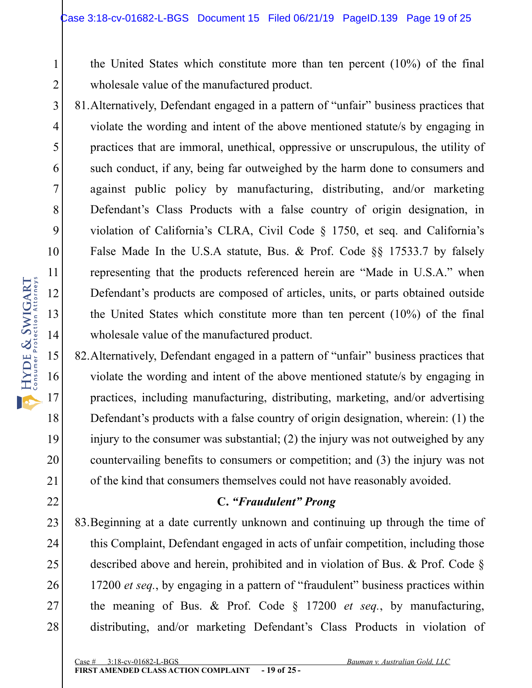the United States which constitute more than ten percent (10%) of the final wholesale value of the manufactured product.

3 4 5 6 7 8 9 10 11 12 13 14 81.Alternatively, Defendant engaged in a pattern of "unfair" business practices that violate the wording and intent of the above mentioned statute/s by engaging in practices that are immoral, unethical, oppressive or unscrupulous, the utility of such conduct, if any, being far outweighed by the harm done to consumers and against public policy by manufacturing, distributing, and/or marketing Defendant's Class Products with a false country of origin designation, in violation of California's CLRA, Civil Code § 1750, et seq. and California's False Made In the U.S.A statute, Bus. & Prof. Code §§ 17533.7 by falsely representing that the products referenced herein are "Made in U.S.A." when Defendant's products are composed of articles, units, or parts obtained outside the United States which constitute more than ten percent (10%) of the final wholesale value of the manufactured product.

82.Alternatively, Defendant engaged in a pattern of "unfair" business practices that violate the wording and intent of the above mentioned statute/s by engaging in practices, including manufacturing, distributing, marketing, and/or advertising Defendant's products with a false country of origin designation, wherein: (1) the injury to the consumer was substantial; (2) the injury was not outweighed by any countervailing benefits to consumers or competition; and (3) the injury was not of the kind that consumers themselves could not have reasonably avoided.

## **C.** *"Fraudulent" Prong*

23 24 25 26 27 28 83.Beginning at a date currently unknown and continuing up through the time of this Complaint, Defendant engaged in acts of unfair competition, including those described above and herein, prohibited and in violation of Bus. & Prof. Code § 17200 *et seq.*, by engaging in a pattern of "fraudulent" business practices within the meaning of Bus. & Prof. Code § 17200 *et seq.*, by manufacturing, distributing, and/or marketing Defendant's Class Products in violation of

15

16

17

18

19

20

21

22

1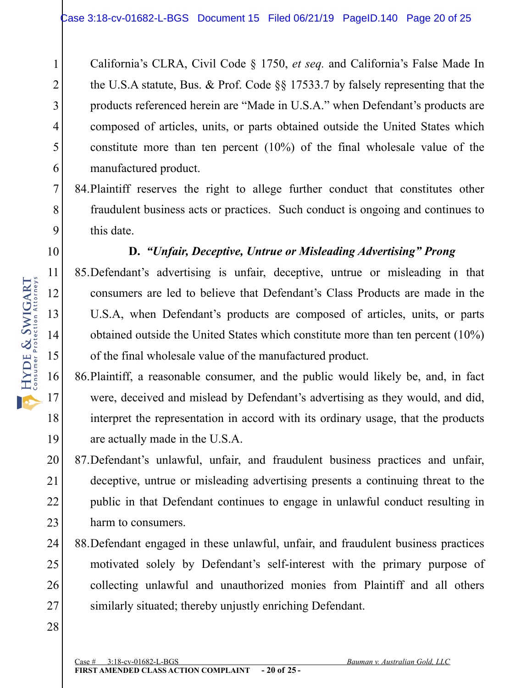California's CLRA, Civil Code § 1750, *et seq.* and California's False Made In the U.S.A statute, Bus. & Prof. Code §§ 17533.7 by falsely representing that the products referenced herein are "Made in U.S.A." when Defendant's products are composed of articles, units, or parts obtained outside the United States which constitute more than ten percent (10%) of the final wholesale value of the manufactured product.

84.Plaintiff reserves the right to allege further conduct that constitutes other fraudulent business acts or practices. Such conduct is ongoing and continues to this date.

# 10 11

12

13

14

**HYDE & SWIGART** 

15

16

17

18

19

1

2

3

4

5

6

7

8

9

## **D.** *"Unfair, Deceptive, Untrue or Misleading Advertising" Prong*

85.Defendant's advertising is unfair, deceptive, untrue or misleading in that consumers are led to believe that Defendant's Class Products are made in the U.S.A, when Defendant's products are composed of articles, units, or parts obtained outside the United States which constitute more than ten percent (10%) of the final wholesale value of the manufactured product.

86.Plaintiff, a reasonable consumer, and the public would likely be, and, in fact were, deceived and mislead by Defendant's advertising as they would, and did, interpret the representation in accord with its ordinary usage, that the products are actually made in the U.S.A.

20 21 22 23 87.Defendant's unlawful, unfair, and fraudulent business practices and unfair, deceptive, untrue or misleading advertising presents a continuing threat to the public in that Defendant continues to engage in unlawful conduct resulting in harm to consumers.

24 25 26 27 88.Defendant engaged in these unlawful, unfair, and fraudulent business practices motivated solely by Defendant's self-interest with the primary purpose of collecting unlawful and unauthorized monies from Plaintiff and all others similarly situated; thereby unjustly enriching Defendant.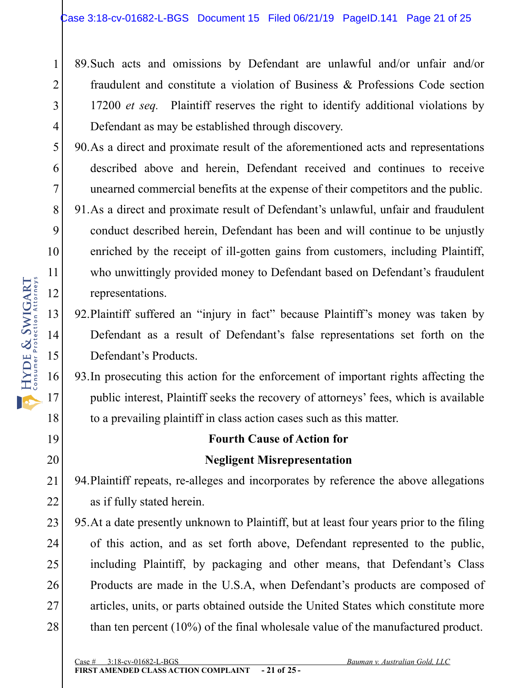89.Such acts and omissions by Defendant are unlawful and/or unfair and/or fraudulent and constitute a violation of Business & Professions Code section 17200 *et seq.* Plaintiff reserves the right to identify additional violations by Defendant as may be established through discovery.

- 90.As a direct and proximate result of the aforementioned acts and representations described above and herein, Defendant received and continues to receive unearned commercial benefits at the expense of their competitors and the public.
- 91.As a direct and proximate result of Defendant's unlawful, unfair and fraudulent conduct described herein, Defendant has been and will continue to be unjustly enriched by the receipt of ill-gotten gains from customers, including Plaintiff, who unwittingly provided money to Defendant based on Defendant's fraudulent representations.
- 92.Plaintiff suffered an "injury in fact" because Plaintiff's money was taken by Defendant as a result of Defendant's false representations set forth on the Defendant's Products.

93.In prosecuting this action for the enforcement of important rights affecting the public interest, Plaintiff seeks the recovery of attorneys' fees, which is available to a prevailing plaintiff in class action cases such as this matter.

# **Fourth Cause of Action for Negligent Misrepresentation**

21 22 94.Plaintiff repeats, re-alleges and incorporates by reference the above allegations as if fully stated herein.

23 24 25 26 27 28 95.At a date presently unknown to Plaintiff, but at least four years prior to the filing of this action, and as set forth above, Defendant represented to the public, including Plaintiff, by packaging and other means, that Defendant's Class Products are made in the U.S.A, when Defendant's products are composed of articles, units, or parts obtained outside the United States which constitute more than ten percent (10%) of the final wholesale value of the manufactured product.

1

2

3

4

5

6

7

8

9

10

18

19

20

3:18-cv-01682-L-BGS<br>MENDED CLASS ACTION COMPLAINT - 21 of 25 -<br> **FIRST AMENDED CLASS ACTION COMPLAINT**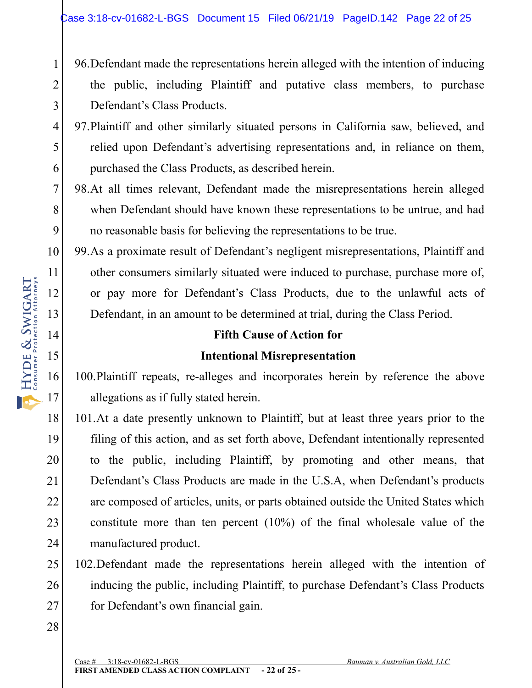- 96.Defendant made the representations herein alleged with the intention of inducing the public, including Plaintiff and putative class members, to purchase Defendant's Class Products.
- 4 5 6 97.Plaintiff and other similarly situated persons in California saw, believed, and relied upon Defendant's advertising representations and, in reliance on them, purchased the Class Products, as described herein.
- 7 8 9 98.At all times relevant, Defendant made the misrepresentations herein alleged when Defendant should have known these representations to be untrue, and had no reasonable basis for believing the representations to be true.

99.As a proximate result of Defendant's negligent misrepresentations, Plaintiff and other consumers similarly situated were induced to purchase, purchase more of, or pay more for Defendant's Class Products, due to the unlawful acts of Defendant, in an amount to be determined at trial, during the Class Period.

## **Fifth Cause of Action for**

## **Intentional Misrepresentation**

100.Plaintiff repeats, re-alleges and incorporates herein by reference the above allegations as if fully stated herein.

18 19 20 21 22 23 24 101.At a date presently unknown to Plaintiff, but at least three years prior to the filing of this action, and as set forth above, Defendant intentionally represented to the public, including Plaintiff, by promoting and other means, that Defendant's Class Products are made in the U.S.A, when Defendant's products are composed of articles, units, or parts obtained outside the United States which constitute more than ten percent (10%) of the final wholesale value of the manufactured product.

- 25 26 27 102.Defendant made the representations herein alleged with the intention of inducing the public, including Plaintiff, to purchase Defendant's Class Products for Defendant's own financial gain.
- 28

1

2

3

10

11

12

13

14

**HYDE & SWIGART** 

15

16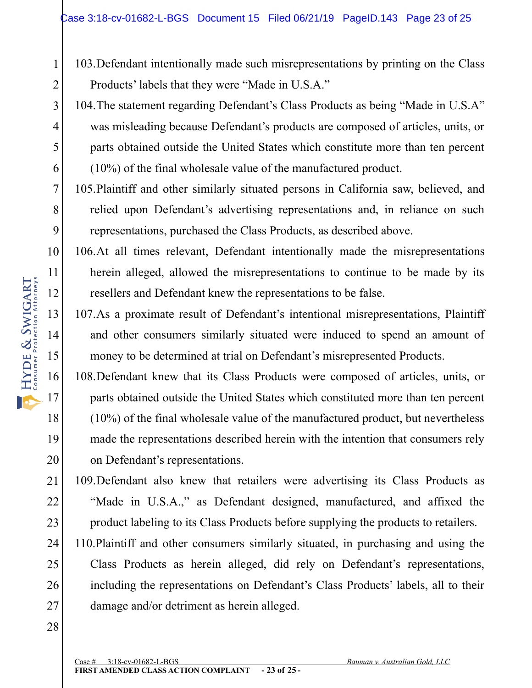- 103.Defendant intentionally made such misrepresentations by printing on the Class Products' labels that they were "Made in U.S.A."
- 104.The statement regarding Defendant's Class Products as being "Made in U.S.A" was misleading because Defendant's products are composed of articles, units, or parts obtained outside the United States which constitute more than ten percent (10%) of the final wholesale value of the manufactured product.
- 105.Plaintiff and other similarly situated persons in California saw, believed, and relied upon Defendant's advertising representations and, in reliance on such representations, purchased the Class Products, as described above.
- 10 12 106.At all times relevant, Defendant intentionally made the misrepresentations herein alleged, allowed the misrepresentations to continue to be made by its resellers and Defendant knew the representations to be false.
	- 107.As a proximate result of Defendant's intentional misrepresentations, Plaintiff and other consumers similarly situated were induced to spend an amount of money to be determined at trial on Defendant's misrepresented Products.
	- 108.Defendant knew that its Class Products were composed of articles, units, or parts obtained outside the United States which constituted more than ten percent (10%) of the final wholesale value of the manufactured product, but nevertheless made the representations described herein with the intention that consumers rely on Defendant's representations.

21 22 23 109.Defendant also knew that retailers were advertising its Class Products as "Made in U.S.A.," as Defendant designed, manufactured, and affixed the product labeling to its Class Products before supplying the products to retailers.

24 25 26 27 110.Plaintiff and other consumers similarly situated, in purchasing and using the Class Products as herein alleged, did rely on Defendant's representations, including the representations on Defendant's Class Products' labels, all to their damage and/or detriment as herein alleged.

**HYDE & SWIGART** 

1

2

3

4

5

6

7

8

9

11

13

14

15

16

17

18

19

20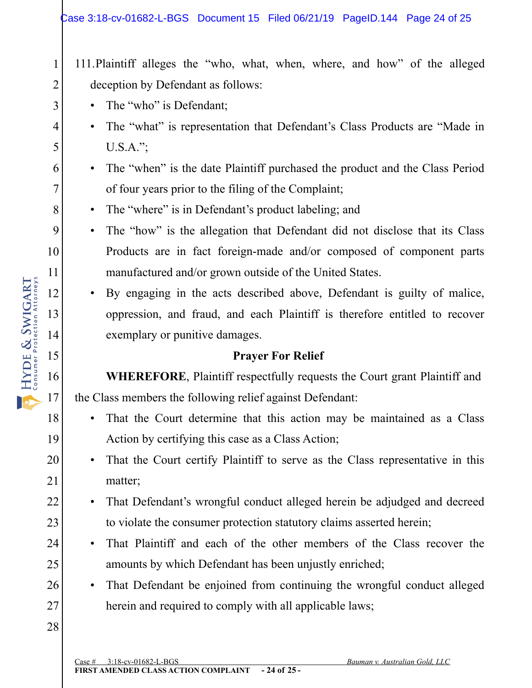- 111.Plaintiff alleges the "who, what, when, where, and how" of the alleged deception by Defendant as follows:
	- The "who" is Defendant;

1

2

3

4

5

6

7

8

9

10

11

12

13

14

HYDE & SWIGART

15

16

17

18

19

20

21

22

23

24

25

26

- The "what" is representation that Defendant's Class Products are "Made in U.S.A.";
- The "when" is the date Plaintiff purchased the product and the Class Period of four years prior to the filing of the Complaint;
- The "where" is in Defendant's product labeling; and
- The "how" is the allegation that Defendant did not disclose that its Class Products are in fact foreign-made and/or composed of component parts manufactured and/or grown outside of the United States.
- By engaging in the acts described above, Defendant is guilty of malice, oppression, and fraud, and each Plaintiff is therefore entitled to recover exemplary or punitive damages.

## **Prayer For Relief**

**WHEREFORE**, Plaintiff respectfully requests the Court grant Plaintiff and the Class members the following relief against Defendant:

- That the Court determine that this action may be maintained as a Class Action by certifying this case as a Class Action;
- That the Court certify Plaintiff to serve as the Class representative in this matter;
- That Defendant's wrongful conduct alleged herein be adjudged and decreed to violate the consumer protection statutory claims asserted herein;
- That Plaintiff and each of the other members of the Class recover the amounts by which Defendant has been unjustly enriched;
- That Defendant be enjoined from continuing the wrongful conduct alleged herein and required to comply with all applicable laws;

28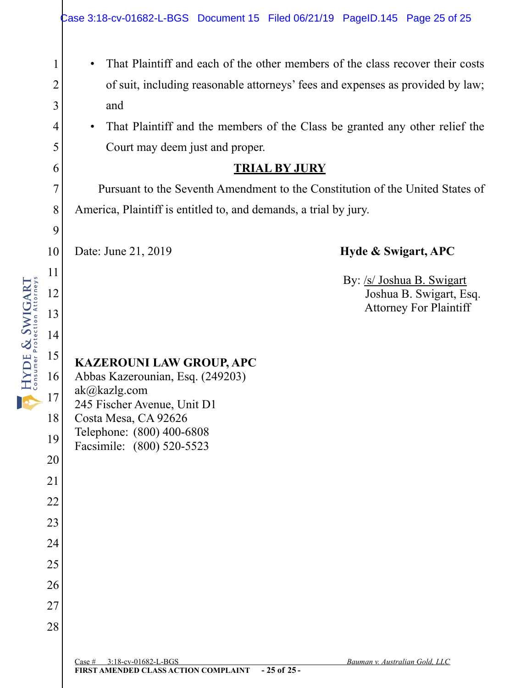| • That Plaintiff and each of the other members of the class recover their costs |
|---------------------------------------------------------------------------------|
| of suit, including reasonable attorneys' fees and expenses as provided by law;  |
| and                                                                             |

• That Plaintiff and the members of the Class be granted any other relief the Court may deem just and proper.

## **TRIAL BY JURY**

 Pursuant to the Seventh Amendment to the Constitution of the United States of America, Plaintiff is entitled to, and demands, a trial by jury.

10

## Date: June 21, 2019 **Hyde & Swigart, APC**

 By: /s/ Joshua B. Swigart Joshua B. Swigart, Esq. Attorney For Plaintiff

# **KAZEROUNI LAW GROUP, APC**

16 17 18 19 20 21 22 23 24 25 26 27 28 Abbas Kazerounian, Esq. (249203) ak@kazlg.com 245 Fischer Avenue, Unit D1 Costa Mesa, CA 92626 Telephone: (800) 400-6808 Facsimile: (800) 520-5523

**HYDE & SWIGART** 12 13 14 15

1

2

3

4

5

6

7

8

9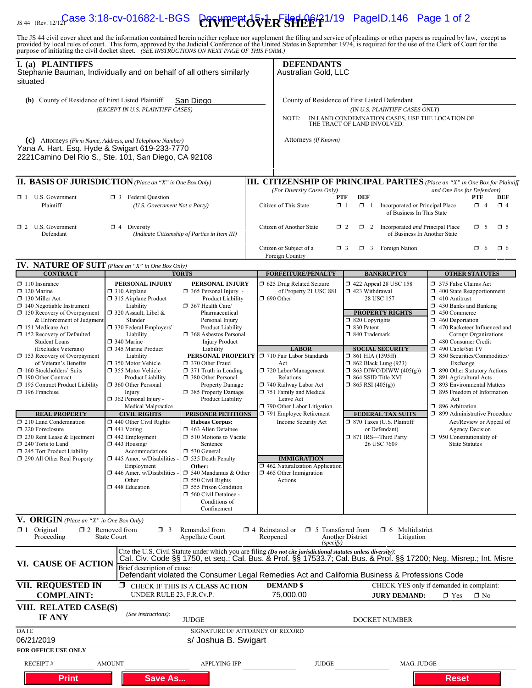#### JS 44 (Rev. 12/12<sup>C</sup>ase 3:18-cv-01682-L-BGS Pocument 35-t RFiled 06/21/19 PageID.146 Page 1 of 2

The JS 44 civil cover sheet and the information contained herein neither replace nor supplement the filing and service of pleadings or other papers as required by law, except as provided by local rules of court. This form,

| purpose of initiating the civil docket sheet. (BEE INSTRUCTIONS ON NEAT FAGE OF THIS FORM.)<br>I. (a) PLAINTIFFS<br>Stephanie Bauman, Individually and on behalf of all others similarly                                                                                                                                                                                      |                                                                                                                                                                                                                                                                                                                                                                                                                                                                                                                                                                                                                                                                                                                                                                                                                                                                                                                                                                                                                                                                                                                                                                                                                                                                                                                                                       |                                                         |                                                     | <b>DEFENDANTS</b><br>Australian Gold, LLC                                                                                                                                  |                                                                                                                                                                                                                                                                                                                                                                                                         |                                                                                                                                                                                                                                                                        |
|-------------------------------------------------------------------------------------------------------------------------------------------------------------------------------------------------------------------------------------------------------------------------------------------------------------------------------------------------------------------------------|-------------------------------------------------------------------------------------------------------------------------------------------------------------------------------------------------------------------------------------------------------------------------------------------------------------------------------------------------------------------------------------------------------------------------------------------------------------------------------------------------------------------------------------------------------------------------------------------------------------------------------------------------------------------------------------------------------------------------------------------------------------------------------------------------------------------------------------------------------------------------------------------------------------------------------------------------------------------------------------------------------------------------------------------------------------------------------------------------------------------------------------------------------------------------------------------------------------------------------------------------------------------------------------------------------------------------------------------------------|---------------------------------------------------------|-----------------------------------------------------|----------------------------------------------------------------------------------------------------------------------------------------------------------------------------|---------------------------------------------------------------------------------------------------------------------------------------------------------------------------------------------------------------------------------------------------------------------------------------------------------------------------------------------------------------------------------------------------------|------------------------------------------------------------------------------------------------------------------------------------------------------------------------------------------------------------------------------------------------------------------------|
| situated                                                                                                                                                                                                                                                                                                                                                                      |                                                                                                                                                                                                                                                                                                                                                                                                                                                                                                                                                                                                                                                                                                                                                                                                                                                                                                                                                                                                                                                                                                                                                                                                                                                                                                                                                       |                                                         |                                                     |                                                                                                                                                                            |                                                                                                                                                                                                                                                                                                                                                                                                         |                                                                                                                                                                                                                                                                        |
| (b) County of Residence of First Listed Plaintiff                                                                                                                                                                                                                                                                                                                             | (EXCEPT IN U.S. PLAINTIFF CASES)                                                                                                                                                                                                                                                                                                                                                                                                                                                                                                                                                                                                                                                                                                                                                                                                                                                                                                                                                                                                                                                                                                                                                                                                                                                                                                                      | San Diego                                               |                                                     | County of Residence of First Listed Defendant<br>(IN U.S. PLAINTIFF CASES ONLY)<br>IN LAND CONDEMNATION CASES, USE THE LOCATION OF<br>NOTE:<br>THE TRACT OF LAND INVOLVED. |                                                                                                                                                                                                                                                                                                                                                                                                         |                                                                                                                                                                                                                                                                        |
| (c) Attorneys (Firm Name, Address, and Telephone Number)<br>Yana A. Hart, Esq. Hyde & Swigart 619-233-7770<br>2221 Camino Del Rio S., Ste. 101, San Diego, CA 92108                                                                                                                                                                                                           |                                                                                                                                                                                                                                                                                                                                                                                                                                                                                                                                                                                                                                                                                                                                                                                                                                                                                                                                                                                                                                                                                                                                                                                                                                                                                                                                                       |                                                         |                                                     | Attorneys (If Known)                                                                                                                                                       |                                                                                                                                                                                                                                                                                                                                                                                                         |                                                                                                                                                                                                                                                                        |
| <b>II. BASIS OF JURISDICTION</b> (Place an "X" in One Box Only)                                                                                                                                                                                                                                                                                                               |                                                                                                                                                                                                                                                                                                                                                                                                                                                                                                                                                                                                                                                                                                                                                                                                                                                                                                                                                                                                                                                                                                                                                                                                                                                                                                                                                       |                                                         |                                                     |                                                                                                                                                                            |                                                                                                                                                                                                                                                                                                                                                                                                         | <b>III. CITIZENSHIP OF PRINCIPAL PARTIES</b> (Place an "X" in One Box for Plaintiff                                                                                                                                                                                    |
| 1 U.S. Government<br>Plaintiff                                                                                                                                                                                                                                                                                                                                                | 3 Federal Question<br>(U.S. Government Not a Party)                                                                                                                                                                                                                                                                                                                                                                                                                                                                                                                                                                                                                                                                                                                                                                                                                                                                                                                                                                                                                                                                                                                                                                                                                                                                                                   |                                                         | (For Diversity Cases Only)<br>Citizen of This State | <b>PTF</b><br><b>DEF</b><br>$\Box$ 1<br>$\Box$ 1<br>Incorporated or Principal Place<br>of Business In This State                                                           | and One Box for Defendant)<br><b>PTF</b><br>DEF<br>$\Box$ 4<br>$\Box$ 4                                                                                                                                                                                                                                                                                                                                 |                                                                                                                                                                                                                                                                        |
| $\Box$ 2 U.S. Government<br>Defendant                                                                                                                                                                                                                                                                                                                                         | $\Box$ 4 Diversity<br>(Indicate Citizenship of Parties in Item III)                                                                                                                                                                                                                                                                                                                                                                                                                                                                                                                                                                                                                                                                                                                                                                                                                                                                                                                                                                                                                                                                                                                                                                                                                                                                                   |                                                         | Citizen of Another State                            | 1 2 Incorporated and Principal Place<br>$\Box$ 2<br>of Business In Another State                                                                                           | $\square$ 5<br>$\Box$ 5                                                                                                                                                                                                                                                                                                                                                                                 |                                                                                                                                                                                                                                                                        |
|                                                                                                                                                                                                                                                                                                                                                                               |                                                                                                                                                                                                                                                                                                                                                                                                                                                                                                                                                                                                                                                                                                                                                                                                                                                                                                                                                                                                                                                                                                                                                                                                                                                                                                                                                       |                                                         |                                                     | Citizen or Subject of a<br>Foreign Country                                                                                                                                 | <b>1</b> 3 Foreign Nation<br>$\Box$ 3                                                                                                                                                                                                                                                                                                                                                                   | $\Box$ 6<br>$\Box$ 6                                                                                                                                                                                                                                                   |
| <b>IV. NATURE OF SUIT</b> (Place an "X" in One Box Only)<br><b>CONTRACT</b>                                                                                                                                                                                                                                                                                                   |                                                                                                                                                                                                                                                                                                                                                                                                                                                                                                                                                                                                                                                                                                                                                                                                                                                                                                                                                                                                                                                                                                                                                                                                                                                                                                                                                       | <b>TORTS</b>                                            |                                                     | <b>FORFEITURE/PENALTY</b>                                                                                                                                                  | <b>BANKRUPTCY</b>                                                                                                                                                                                                                                                                                                                                                                                       | <b>OTHER STATUTES</b>                                                                                                                                                                                                                                                  |
| $\Box$ 110 Insurance<br>$\Box$ 120 Marine<br>$\Box$ 130 Miller Act<br>$\Box$ 140 Negotiable Instrument<br>150 Recovery of Overpayment<br>& Enforcement of Judgment<br>151 Medicare Act<br>□ 152 Recovery of Defaulted<br><b>Student Loans</b><br>(Excludes Veterans)<br>153 Recovery of Overpayment<br>of Veteran's Benefits<br>160 Stockholders' Suits<br>190 Other Contract | PERSONAL INJURY<br>PERSONAL INJURY<br>$\Box$ 310 Airplane<br>365 Personal Injury -<br>315 Airplane Product<br>Product Liability<br>Liability<br>367 Health Care/<br>□ 320 Assault, Libel &<br>Pharmaceutical<br>Slander<br>Personal Injury<br>□ 330 Federal Employers'<br>Product Liability<br>Liability<br>368 Asbestos Personal<br>340 Marine<br><b>Injury Product</b><br>345 Marine Product<br>Liability<br>PERSONAL PROPERTY<br>Liability<br>350 Motor Vehicle<br>370 Other Fraud<br>355 Motor Vehicle<br>$\Box$ 371 Truth in Lending<br>380 Other Personal<br><b>Product Liability</b><br>360 Other Personal<br><b>Property Damage</b><br>385 Property Damage<br>Injury<br>$\Box$ 362 Personal Injury -<br>Product Liability<br>Medical Malpractice<br><b>CIVIL RIGHTS</b><br><b>PRISONER PETITIONS</b><br>$\overline{\Box}$ 440 Other Civil Rights<br><b>Habeas Corpus:</b><br>$\Box$ 441 Voting<br>1463 Alien Detainee<br>$\Box$ 442 Employment<br>$\Box$ 510 Motions to Vacate<br>$\Box$ 443 Housing/<br>Sentence<br>530 General<br>Accommodations<br>$\Box$ 445 Amer. w/Disabilities -<br>535 Death Penalty<br>Employment<br>Other:<br>$\Box$ 446 Amer. w/Disabilities -<br>$\Box$ 540 Mandamus & Other<br>Other<br>$\Box$ 550 Civil Rights<br>448 Education<br>555 Prison Condition<br>560 Civil Detainee -<br>Conditions of<br>Confinement |                                                         |                                                     | 5 625 Drug Related Seizure<br>of Property 21 USC 881<br>$\Box$ 690 Other<br><b>LABOR</b><br>710 Fair Labor Standards<br>Act<br>720 Labor/Management<br>Relations           | $\Box$ 422 Appeal 28 USC 158<br>1 423 Withdrawal<br>28 USC 157<br>$\Box$ 410 Antitrust<br><b>PROPERTY RIGHTS</b><br>$\Box$ 450 Commerce<br>$\Box$ 820 Copyrights<br>$\Box$ 460 Deportation<br>30 Patent<br>□ 840 Trademark<br>490 Cable/Sat TV<br><b>SOCIAL SECURITY</b><br>$\Box$ 861 HIA (1395ff)<br>$\Box$ 862 Black Lung (923)<br>Exchange<br>$\Box$ 863 DIWC/DIWW (405(g))<br>□ 864 SSID Title XVI | 375 False Claims Act<br>1 400 State Reapportionment<br>$\Box$ 430 Banks and Banking<br>1 470 Racketeer Influenced and<br><b>Corrupt Organizations</b><br>1 480 Consumer Credit<br>50 Securities/Commodities/<br>890 Other Statutory Actions<br>□ 891 Agricultural Acts |
| 195 Contract Product Liability<br>$\Box$ 196 Franchise                                                                                                                                                                                                                                                                                                                        |                                                                                                                                                                                                                                                                                                                                                                                                                                                                                                                                                                                                                                                                                                                                                                                                                                                                                                                                                                                                                                                                                                                                                                                                                                                                                                                                                       |                                                         |                                                     | $\Box$ 740 Railway Labor Act<br>$\Box$ 751 Family and Medical<br>Leave Act<br>790 Other Labor Litigation                                                                   | $\Box$ 865 RSI (405(g))                                                                                                                                                                                                                                                                                                                                                                                 | 5 893 Environmental Matters<br>$\Box$ 895 Freedom of Information<br>Act<br>$\Box$ 896 Arbitration                                                                                                                                                                      |
| <b>REAL PROPERTY</b><br>210 Land Condemnation<br>220 Foreclosure<br>□ 230 Rent Lease & Ejectment<br>240 Torts to Land<br>245 Tort Product Liability<br>□ 290 All Other Real Property                                                                                                                                                                                          |                                                                                                                                                                                                                                                                                                                                                                                                                                                                                                                                                                                                                                                                                                                                                                                                                                                                                                                                                                                                                                                                                                                                                                                                                                                                                                                                                       |                                                         |                                                     | 791 Employee Retirement<br>Income Security Act<br><b>IMMIGRATION</b>                                                                                                       | <b>FEDERAL TAX SUITS</b><br>□ 870 Taxes (U.S. Plaintiff<br>or Defendant)<br>□ 871 IRS-Third Party<br>26 USC 7609                                                                                                                                                                                                                                                                                        | □ 899 Administrative Procedure<br>Act/Review or Appeal of<br><b>Agency Decision</b><br>$\Box$ 950 Constitutionality of<br><b>State Statutes</b>                                                                                                                        |
|                                                                                                                                                                                                                                                                                                                                                                               |                                                                                                                                                                                                                                                                                                                                                                                                                                                                                                                                                                                                                                                                                                                                                                                                                                                                                                                                                                                                                                                                                                                                                                                                                                                                                                                                                       |                                                         |                                                     | $\Box$ 462 Naturalization Application<br>$\Box$ 465 Other Immigration<br>Actions                                                                                           |                                                                                                                                                                                                                                                                                                                                                                                                         |                                                                                                                                                                                                                                                                        |
| V. ORIGIN (Place an "X" in One Box Only)<br>$\boxtimes$ 1 Original<br>Proceeding                                                                                                                                                                                                                                                                                              | $\Box$ 2 Removed from<br>$\Box$ 3<br>State Court                                                                                                                                                                                                                                                                                                                                                                                                                                                                                                                                                                                                                                                                                                                                                                                                                                                                                                                                                                                                                                                                                                                                                                                                                                                                                                      | Remanded from<br>Appellate Court                        | $\Box$ 4 Reinstated or                              | $\Box$ 5 Transferred from<br>Reopened<br>(specify)                                                                                                                         | $\Box$ 6 Multidistrict<br><b>Another District</b><br>Litigation                                                                                                                                                                                                                                                                                                                                         |                                                                                                                                                                                                                                                                        |
| VI. CAUSE OF ACTION                                                                                                                                                                                                                                                                                                                                                           | Brief description of cause:                                                                                                                                                                                                                                                                                                                                                                                                                                                                                                                                                                                                                                                                                                                                                                                                                                                                                                                                                                                                                                                                                                                                                                                                                                                                                                                           |                                                         |                                                     | Cite the U.S. Civil Statute under which you are filing (Do not cite jurisdictional statutes unless diversity):                                                             | Defendant violated the Consumer Legal Remedies Act and California Business & Professions Code                                                                                                                                                                                                                                                                                                           | Cal. Civ. Code §§ 1750, et seq.; Cal. Bus. & Prof. §§ 17533.7; Cal. Bus. & Prof. §§ 17200; Neg. Misrep.; Int. Misre                                                                                                                                                    |
| VII. REQUESTED IN<br><b>COMPLAINT:</b>                                                                                                                                                                                                                                                                                                                                        | ⊠<br>UNDER RULE 23, F.R.Cv.P.                                                                                                                                                                                                                                                                                                                                                                                                                                                                                                                                                                                                                                                                                                                                                                                                                                                                                                                                                                                                                                                                                                                                                                                                                                                                                                                         | CHECK IF THIS IS A CLASS ACTION                         |                                                     | <b>DEMAND</b> \$<br>75,000.00                                                                                                                                              | <b>JURY DEMAND:</b>                                                                                                                                                                                                                                                                                                                                                                                     | CHECK YES only if demanded in complaint:<br>$\times$ Yes<br>$\Box$ No                                                                                                                                                                                                  |
| VIII. RELATED CASE(S)<br>IF ANY                                                                                                                                                                                                                                                                                                                                               | (See instructions):                                                                                                                                                                                                                                                                                                                                                                                                                                                                                                                                                                                                                                                                                                                                                                                                                                                                                                                                                                                                                                                                                                                                                                                                                                                                                                                                   | <b>JUDGE</b>                                            |                                                     |                                                                                                                                                                            | DOCKET NUMBER                                                                                                                                                                                                                                                                                                                                                                                           |                                                                                                                                                                                                                                                                        |
| <b>DATE</b><br>06/21/2019                                                                                                                                                                                                                                                                                                                                                     |                                                                                                                                                                                                                                                                                                                                                                                                                                                                                                                                                                                                                                                                                                                                                                                                                                                                                                                                                                                                                                                                                                                                                                                                                                                                                                                                                       | SIGNATURE OF ATTORNEY OF RECORD<br>s/ Joshua B. Swigart |                                                     |                                                                                                                                                                            |                                                                                                                                                                                                                                                                                                                                                                                                         |                                                                                                                                                                                                                                                                        |
| <b>FOR OFFICE USE ONLY</b><br><b>RECEIPT#</b>                                                                                                                                                                                                                                                                                                                                 | <b>AMOUNT</b>                                                                                                                                                                                                                                                                                                                                                                                                                                                                                                                                                                                                                                                                                                                                                                                                                                                                                                                                                                                                                                                                                                                                                                                                                                                                                                                                         | <b>APPLYING IFP</b>                                     |                                                     | <b>JUDGE</b>                                                                                                                                                               | MAG. JUDGE                                                                                                                                                                                                                                                                                                                                                                                              |                                                                                                                                                                                                                                                                        |
| <b>Print</b>                                                                                                                                                                                                                                                                                                                                                                  | Save As                                                                                                                                                                                                                                                                                                                                                                                                                                                                                                                                                                                                                                                                                                                                                                                                                                                                                                                                                                                                                                                                                                                                                                                                                                                                                                                                               |                                                         |                                                     |                                                                                                                                                                            |                                                                                                                                                                                                                                                                                                                                                                                                         | <b>Reset</b>                                                                                                                                                                                                                                                           |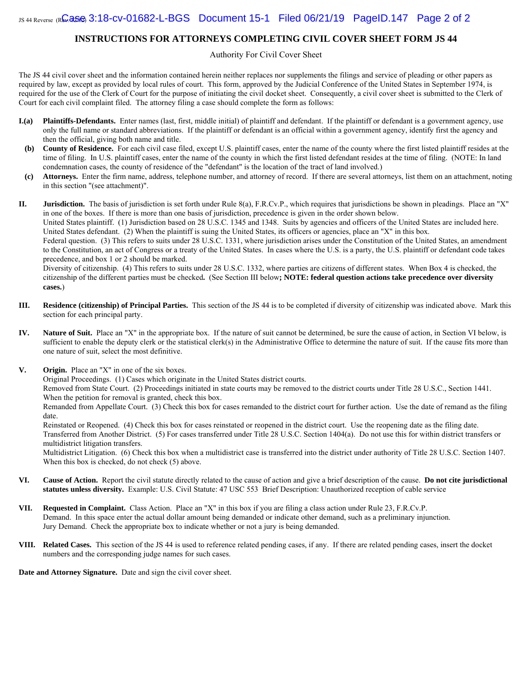#### **INSTRUCTIONS FOR ATTORNEYS COMPLETING CIVIL COVER SHEET FORM JS 44**

Authority For Civil Cover Sheet

The JS 44 civil cover sheet and the information contained herein neither replaces nor supplements the filings and service of pleading or other papers as required by law, except as provided by local rules of court. This form, approved by the Judicial Conference of the United States in September 1974, is required for the use of the Clerk of Court for the purpose of initiating the civil docket sheet. Consequently, a civil cover sheet is submitted to the Clerk of Court for each civil complaint filed. The attorney filing a case should complete the form as follows:

- **I.(a) Plaintiffs-Defendants.** Enter names (last, first, middle initial) of plaintiff and defendant. If the plaintiff or defendant is a government agency, use only the full name or standard abbreviations. If the plaintiff or defendant is an official within a government agency, identify first the agency and then the official, giving both name and title.
- **(b) County of Residence.** For each civil case filed, except U.S. plaintiff cases, enter the name of the county where the first listed plaintiff resides at the time of filing. In U.S. plaintiff cases, enter the name of the county in which the first listed defendant resides at the time of filing. (NOTE: In land condemnation cases, the county of residence of the "defendant" is the location of the tract of land involved.)
- **(c) Attorneys.** Enter the firm name, address, telephone number, and attorney of record. If there are several attorneys, list them on an attachment, noting in this section "(see attachment)".

**II. Jurisdiction.** The basis of jurisdiction is set forth under Rule 8(a), F.R.Cv.P., which requires that jurisdictions be shown in pleadings. Place an "X" in one of the boxes. If there is more than one basis of jurisdiction, precedence is given in the order shown below. United States plaintiff. (1) Jurisdiction based on 28 U.S.C. 1345 and 1348. Suits by agencies and officers of the United States are included here. United States defendant. (2) When the plaintiff is suing the United States, its officers or agencies, place an "X" in this box. Federal question. (3) This refers to suits under 28 U.S.C. 1331, where jurisdiction arises under the Constitution of the United States, an amendment to the Constitution, an act of Congress or a treaty of the United States. In cases where the U.S. is a party, the U.S. plaintiff or defendant code takes

precedence, and box 1 or 2 should be marked.

Diversity of citizenship. (4) This refers to suits under 28 U.S.C. 1332, where parties are citizens of different states. When Box 4 is checked, the citizenship of the different parties must be checked**.** (See Section III below**; NOTE: federal question actions take precedence over diversity cases.**)

- **III. Residence (citizenship) of Principal Parties.** This section of the JS 44 is to be completed if diversity of citizenship was indicated above. Mark this section for each principal party.
- **IV. Nature of Suit.** Place an "X" in the appropriate box. If the nature of suit cannot be determined, be sure the cause of action, in Section VI below, is sufficient to enable the deputy clerk or the statistical clerk(s) in the Administrative Office to determine the nature of suit. If the cause fits more than one nature of suit, select the most definitive.
- **V. Origin.** Place an "X" in one of the six boxes.

Original Proceedings. (1) Cases which originate in the United States district courts.

Removed from State Court. (2) Proceedings initiated in state courts may be removed to the district courts under Title 28 U.S.C., Section 1441. When the petition for removal is granted, check this box.

Remanded from Appellate Court. (3) Check this box for cases remanded to the district court for further action. Use the date of remand as the filing date.

Reinstated or Reopened. (4) Check this box for cases reinstated or reopened in the district court. Use the reopening date as the filing date. Transferred from Another District. (5) For cases transferred under Title 28 U.S.C. Section 1404(a). Do not use this for within district transfers or multidistrict litigation transfers.

Multidistrict Litigation. (6) Check this box when a multidistrict case is transferred into the district under authority of Title 28 U.S.C. Section 1407. When this box is checked, do not check (5) above.

- **VI. Cause of Action.** Report the civil statute directly related to the cause of action and give a brief description of the cause. **Do not cite jurisdictional statutes unless diversity.** Example: U.S. Civil Statute: 47 USC 553 Brief Description: Unauthorized reception of cable service
- **VII. Requested in Complaint.** Class Action. Place an "X" in this box if you are filing a class action under Rule 23, F.R.Cv.P. Demand. In this space enter the actual dollar amount being demanded or indicate other demand, such as a preliminary injunction. Jury Demand. Check the appropriate box to indicate whether or not a jury is being demanded.
- **VIII. Related Cases.** This section of the JS 44 is used to reference related pending cases, if any. If there are related pending cases, insert the docket numbers and the corresponding judge names for such cases.

**Date and Attorney Signature.** Date and sign the civil cover sheet.